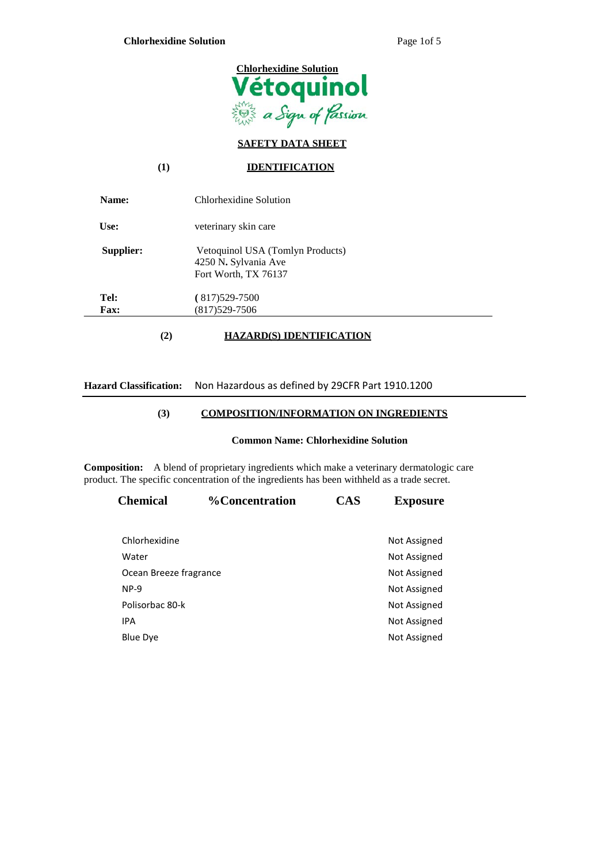

## **SAFETY DATA SHEET**

### **(1) IDENTIFICATION**

| Name:               | Chlorhexidine Solution                                                           |
|---------------------|----------------------------------------------------------------------------------|
| Use:                | veterinary skin care                                                             |
| Supplier:           | Vetoquinol USA (Tomlyn Products)<br>4250 N. Sylvania Ave<br>Fort Worth, TX 76137 |
| Tel:<br><b>Fax:</b> | $(817)529-7500$<br>$(817)529 - 7506$                                             |
| $\mathbf{2}$        | ZARD(S) IDENTIFICATION                                                           |

# **Hazard Classification:** Non Hazardous as defined by 29CFR Part 1910.1200

### **(3) COMPOSITION/INFORMATION ON INGREDIENTS**

### **Common Name: Chlorhexidine Solution**

**Composition:** A blend of proprietary ingredients which make a veterinary dermatologic care product. The specific concentration of the ingredients has been withheld as a trade secret.

| <b>Chemical</b>        | <b>%Concentration</b> | <b>CAS</b> | <b>Exposure</b>     |
|------------------------|-----------------------|------------|---------------------|
| Chlorhexidine          |                       |            | Not Assigned        |
| Water                  |                       |            | Not Assigned        |
| Ocean Breeze fragrance |                       |            | <b>Not Assigned</b> |
| $NP-9$                 |                       |            | Not Assigned        |
| Polisorbac 80-k        |                       |            | Not Assigned        |
| <b>IPA</b>             |                       |            | Not Assigned        |
| Blue Dye               |                       |            | Not Assigned        |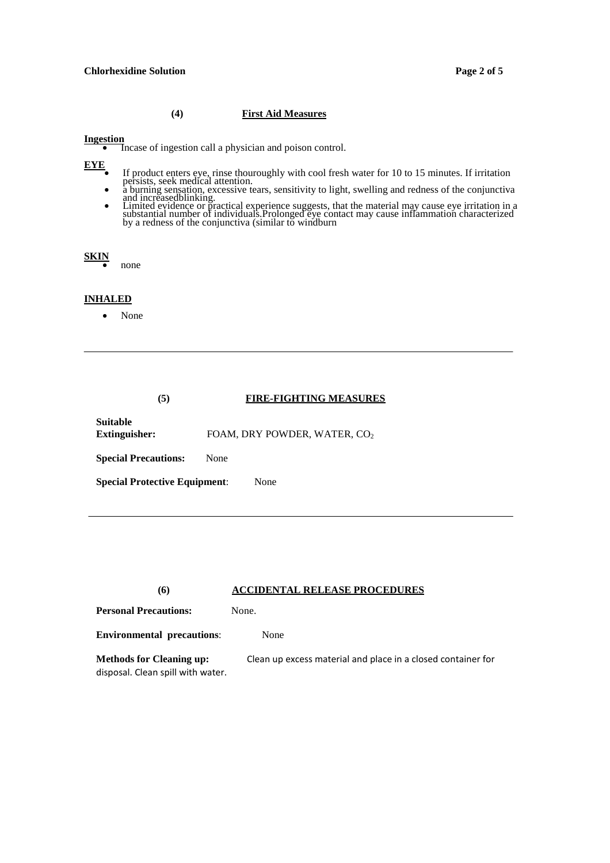### **Chlorhexidine Solution Page 2 of 5**

### **(4) First Aid Measures**

**Ingestion** • Incase of ingestion call a physician and poison control.

- EYE<br>
If product enters eye, rinse thouroughly with cool fresh water for 10 to 15 minutes. If irritation<br>
a burning sensation, excessive tears, sensitivity to light, swelling and redness of the conjunctiva
	-
	- a during sensation, exessive tears, sensitivity to fight, swelling and fedness of the conjunctiva<br>and increased<br>blinking.<br>Limited evidence or practical experience suggests, that the material may cause eye irritation in a<br>s

| I |  |
|---|--|
|   |  |

**SKIN**• none

### **INHALED**

• None

| (5)                                  | <b>FIRE-FIGHTING MEASURES</b>            |  |
|--------------------------------------|------------------------------------------|--|
| Suitable<br>Extinguisher:            | FOAM, DRY POWDER, WATER, CO <sub>2</sub> |  |
| <b>Special Precautions:</b>          | None                                     |  |
| <b>Special Protective Equipment:</b> | None                                     |  |

### **(6) ACCIDENTAL RELEASE PROCEDURES**

| <b>Personal Precautions:</b>                                         | None.                                                        |
|----------------------------------------------------------------------|--------------------------------------------------------------|
| <b>Environmental precautions:</b>                                    | None                                                         |
| <b>Methods for Cleaning up:</b><br>disposal. Clean spill with water. | Clean up excess material and place in a closed container for |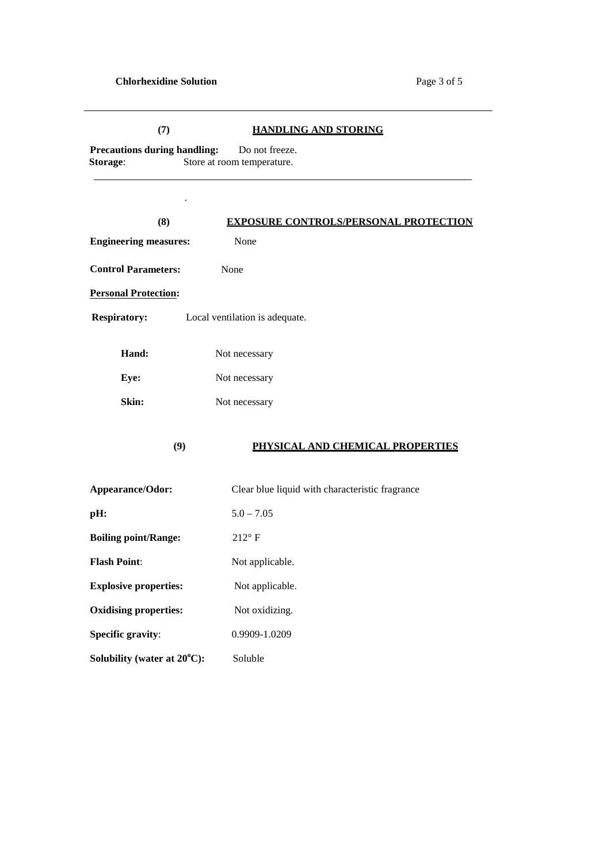### **(7) HANDLING AND STORING**

**Precautions during handling:** Do not freeze.<br>**Storage:** Store at room temperature. Store at room temperature.

.

**Boiling point/Range:** 212° F

**Flash Point:** Not applicable.

**Explosive properties:** Not applicable.

**Oxidising properties:** Not oxidizing.

**Specific gravity:** 0.9909-1.0209

**C):** Soluble

**Solubility (water at 20<sup>o</sup>**

| (8)                          | <b>EXPOSURE CONTROLS/PERSONAL PROTECTION</b>    |
|------------------------------|-------------------------------------------------|
| <b>Engineering measures:</b> | None                                            |
| <b>Control Parameters:</b>   | None                                            |
| <b>Personal Protection:</b>  |                                                 |
| <b>Respiratory:</b>          | Local ventilation is adequate.                  |
| Hand:                        | Not necessary                                   |
| Eye:                         | Not necessary                                   |
| Skin:                        | Not necessary                                   |
| (9)                          | PHYSICAL AND CHEMICAL PROPERTIES                |
| Appearance/Odor:             | Clear blue liquid with characteristic fragrance |
| pH:                          | $5.0 - 7.05$                                    |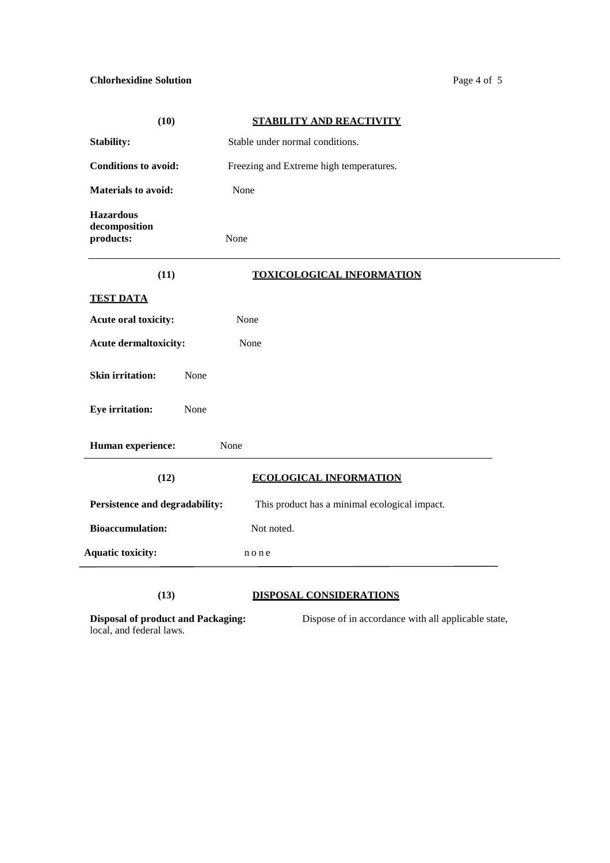# **Chlorhexidine Solution** Page 4 of 5

| (10)                                                                  | STABILITY AND REACTIVITY                            |
|-----------------------------------------------------------------------|-----------------------------------------------------|
| <b>Stability:</b>                                                     | Stable under normal conditions.                     |
| <b>Conditions to avoid:</b>                                           | Freezing and Extreme high temperatures.             |
| <b>Materials to avoid:</b>                                            | None                                                |
| <b>Hazardous</b><br>decomposition<br>products:                        | None                                                |
| (11)                                                                  | <b>TOXICOLOGICAL INFORMATION</b>                    |
| <b>TEST DATA</b>                                                      |                                                     |
| Acute oral toxicity:                                                  | None                                                |
| <b>Acute dermaltoxicity:</b>                                          | None                                                |
| <b>Skin irritation:</b><br>None                                       |                                                     |
| <b>Eye irritation:</b><br>None                                        |                                                     |
| <b>Human experience:</b>                                              | None                                                |
| (12)                                                                  | <b>ECOLOGICAL INFORMATION</b>                       |
| Persistence and degradability:                                        | This product has a minimal ecological impact.       |
| <b>Bioaccumulation:</b>                                               | Not noted.                                          |
| <b>Aquatic toxicity:</b>                                              | none                                                |
| (13)                                                                  | <b>DISPOSAL CONSIDERATIONS</b>                      |
| <b>Disposal of product and Packaging:</b><br>local, and federal laws. | Dispose of in accordance with all applicable state, |